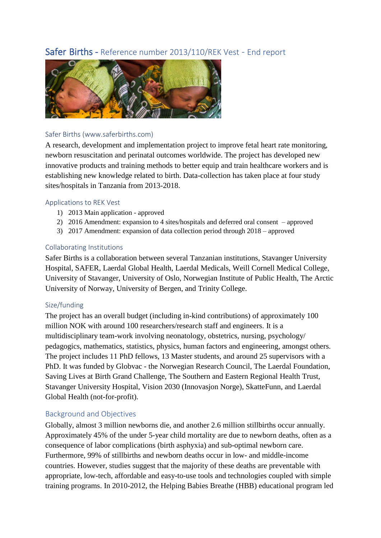# Safer Births - Reference number 2013/110/REK Vest - End report



### Safer Births (www.saferbirths.com)

A research, development and implementation project to improve fetal heart rate monitoring, newborn resuscitation and perinatal outcomes worldwide. The project has developed new innovative products and training methods to better equip and train healthcare workers and is establishing new knowledge related to birth. Data-collection has taken place at four study sites/hospitals in Tanzania from 2013-2018.

### Applications to REK Vest

- 1) 2013 Main application approved
- 2) 2016 Amendment: expansion to 4 sites/hospitals and deferred oral consent approved
- 3) 2017 Amendment: expansion of data collection period through 2018 approved

### Collaborating Institutions

Safer Births is a collaboration between several Tanzanian institutions, Stavanger University Hospital, SAFER, Laerdal Global Health, Laerdal Medicals, Weill Cornell Medical College, University of Stavanger, University of Oslo, Norwegian Institute of Public Health, The Arctic University of Norway, University of Bergen, and Trinity College.

#### Size/funding

The project has an overall budget (including in-kind contributions) of approximately 100 million NOK with around 100 researchers/research staff and engineers. It is a multidisciplinary team-work involving neonatology, obstetrics, nursing, psychology/ pedagogics, mathematics, statistics, physics, human factors and engineering, amongst others. The project includes 11 PhD fellows, 13 Master students, and around 25 supervisors with a PhD. It was funded by Globvac - the Norwegian Research Council, The Laerdal Foundation, Saving Lives at Birth Grand Challenge, The Southern and Eastern Regional Health Trust, Stavanger University Hospital, Vision 2030 (Innovasjon Norge), SkatteFunn, and Laerdal Global Health (not-for-profit).

## Background and Objectives

Globally, almost 3 million newborns die, and another 2.6 million stillbirths occur annually. Approximately 45% of the under 5-year child mortality are due to newborn deaths, often as a consequence of labor complications (birth asphyxia) and sub-optimal newborn care. Furthermore, 99% of stillbirths and newborn deaths occur in low- and middle-income countries. However, studies suggest that the majority of these deaths are preventable with appropriate, low-tech, affordable and easy-to-use tools and technologies coupled with simple training programs. In 2010-2012, the Helping Babies Breathe (HBB) educational program led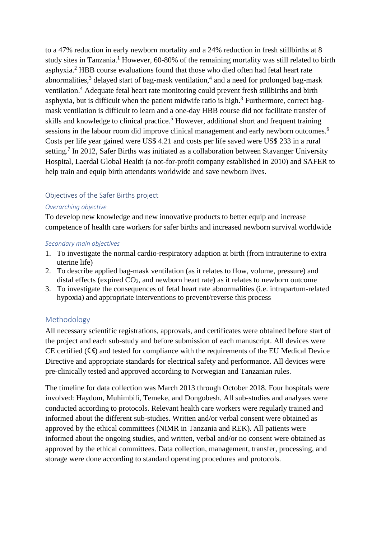to a 47% reduction in early newborn mortality and a 24% reduction in fresh stillbirths at 8 study sites in Tanzania.<sup>1</sup> However, 60-80% of the remaining mortality was still related to birth asphyxia.<sup>2</sup> HBB course evaluations found that those who died often had fetal heart rate abnormalities,<sup>3</sup> delayed start of bag-mask ventilation,<sup>4</sup> and a need for prolonged bag-mask ventilation.<sup>4</sup> Adequate fetal heart rate monitoring could prevent fresh stillbirths and birth asphyxia, but is difficult when the patient midwife ratio is high.<sup>3</sup> Furthermore, correct bagmask ventilation is difficult to learn and a one-day HBB course did not facilitate transfer of skills and knowledge to clinical practice.<sup>5</sup> However, additional short and frequent training sessions in the labour room did improve clinical management and early newborn outcomes.<sup>6</sup> Costs per life year gained were US\$ 4.21 and costs per life saved were US\$ 233 in a rural setting.<sup>7</sup> In 2012, Safer Births was initiated as a collaboration between Stavanger University Hospital, Laerdal Global Health (a not-for-profit company established in 2010) and SAFER to help train and equip birth attendants worldwide and save newborn lives.

## Objectives of the Safer Births project

#### *Overarching objective*

To develop new knowledge and new innovative products to better equip and increase competence of health care workers for safer births and increased newborn survival worldwide

#### *Secondary main objectives*

- 1. To investigate the normal cardio-respiratory adaption at birth (from intrauterine to extra uterine life)
- 2. To describe applied bag-mask ventilation (as it relates to flow, volume, pressure) and distal effects (expired  $CO<sub>2</sub>$ , and newborn heart rate) as it relates to newborn outcome
- 3. To investigate the consequences of fetal heart rate abnormalities (i.e. intrapartum-related hypoxia) and appropriate interventions to prevent/reverse this process

## Methodology

All necessary scientific registrations, approvals, and certificates were obtained before start of the project and each sub-study and before submission of each manuscript. All devices were CE certified  $(\mathsf{C}\mathsf{E})$  and tested for compliance with the requirements of the EU Medical Device Directive and appropriate standards for electrical safety and performance. All devices were pre-clinically tested and approved according to Norwegian and Tanzanian rules.

The timeline for data collection was March 2013 through October 2018. Four hospitals were involved: Haydom, Muhimbili, Temeke, and Dongobesh. All sub-studies and analyses were conducted according to protocols. Relevant health care workers were regularly trained and informed about the different sub-studies. Written and/or verbal consent were obtained as approved by the ethical committees (NIMR in Tanzania and REK). All patients were informed about the ongoing studies, and written, verbal and/or no consent were obtained as approved by the ethical committees. Data collection, management, transfer, processing, and storage were done according to standard operating procedures and protocols.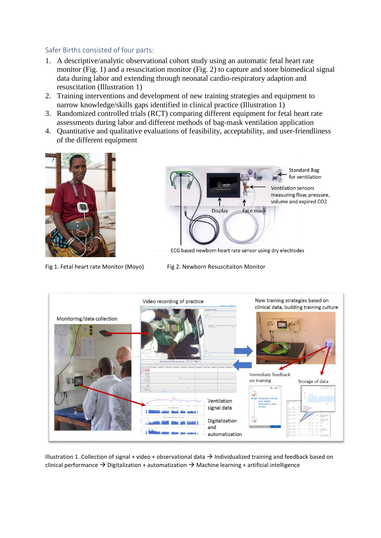#### Safer Births consisted of four parts:

- 1. A descriptive/analytic observational cohort study using an automatic fetal heart rate monitor (Fig. 1) and a resuscitation monitor (Fig. 2) to capture and store biomedical signal data during labor and extending through neonatal cardio-respiratory adaption and resuscitation (Illustration 1)
- 2. Training interventions and development of new training strategies and equipment to narrow knowledge/skills gaps identified in clinical practice (Illustration 1)
- 3. Randomized controlled trials (RCT) comparing different equipment for fetal heart rate assessments during labor and different methods of bag-mask ventilation application
- 4. Quantitative and qualitative evaluations of feasibility, acceptability, and user-friendliness of the different equipment





ECG based newborn heart rate sensor using dry electrodes

Fig 1. Fetal heart rate Monitor (Moyo) Fig 2. Newborn Resuscitaiton Monitor



Illustration 1. Collection of signal + video + observational data → Individualized training and feedback based on clinical performance  $\rightarrow$  Digitalization + automatization  $\rightarrow$  Machine learning + artificial intelligence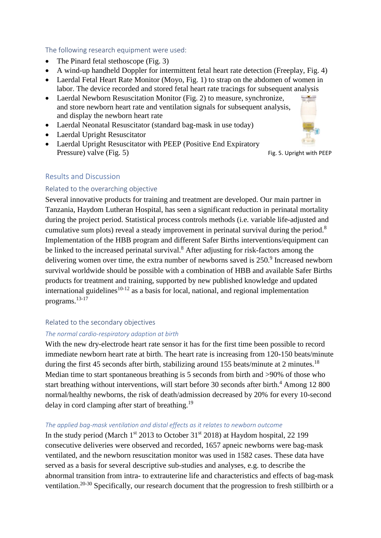The following research equipment were used:

- The Pinard fetal stethoscope (Fig. 3)
- A wind-up handheld Doppler for intermittent fetal heart rate detection (Freeplay, Fig. 4)
- Laerdal Fetal Heart Rate Monitor (Moyo, Fig. 1) to strap on the abdomen of women in labor. The device recorded and stored fetal heart rate tracings for subsequent analysis
- Laerdal Newborn Resuscitation Monitor (Fig. 2) to measure, synchronize, and store newborn heart rate and ventilation signals for subsequent analysis, and display the newborn heart rate
- Laerdal Neonatal Resuscitator (standard bag-mask in use today)
- Laerdal Upright Resuscitator
- Laerdal Upright Resuscitator with PEEP (Positive End Expiratory Pressure) valve (Fig. 5) Fig. 5. Upright with PEEP



## Results and Discussion

## Related to the overarching objective

Several innovative products for training and treatment are developed. Our main partner in Tanzania, Haydom Lutheran Hospital, has seen a significant reduction in perinatal mortality during the project period. Statistical process controls methods (i.e. variable life-adjusted and cumulative sum plots) reveal a steady improvement in perinatal survival during the period.<sup>8</sup> Implementation of the HBB program and different Safer Births interventions/equipment can be linked to the increased perinatal survival.<sup>8</sup> After adjusting for risk-factors among the delivering women over time, the extra number of newborns saved is  $250<sup>9</sup>$  Increased newborn survival worldwide should be possible with a combination of HBB and available Safer Births products for treatment and training, supported by new published knowledge and updated international guidelines<sup>10-12</sup> as a basis for local, national, and regional implementation programs.13-17

#### Related to the secondary objectives

#### *The normal cardio-respiratory adaption at birth*

With the new dry-electrode heart rate sensor it has for the first time been possible to record immediate newborn heart rate at birth. The heart rate is increasing from 120-150 beats/minute during the first 45 seconds after birth, stabilizing around 155 beats/minute at 2 minutes.<sup>18</sup> Median time to start spontaneous breathing is 5 seconds from birth and >90% of those who start breathing without interventions, will start before 30 seconds after birth.<sup>4</sup> Among 12 800 normal/healthy newborns, the risk of death/admission decreased by 20% for every 10-second delay in cord clamping after start of breathing.<sup>19</sup>

#### *The applied bag-mask ventilation and distal effects as it relates to newborn outcome*

In the study period (March  $1<sup>st</sup>$  2013 to October 31 $<sup>st</sup>$  2018) at Haydom hospital, 22 199</sup> consecutive deliveries were observed and recorded, 1657 apneic newborns were bag-mask ventilated, and the newborn resuscitation monitor was used in 1582 cases. These data have served as a basis for several descriptive sub-studies and analyses, e.g. to describe the abnormal transition from intra- to extrauterine life and characteristics and effects of bag-mask ventilation.20-30 Specifically, our research document that the progression to fresh stillbirth or a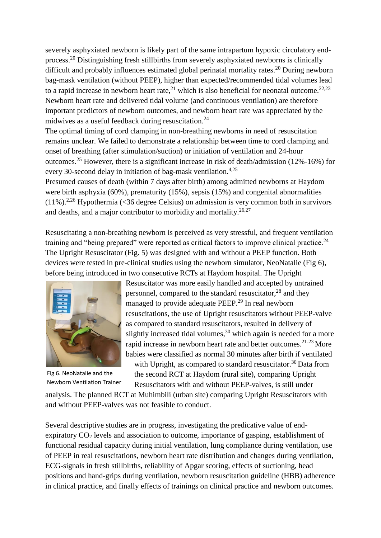severely asphyxiated newborn is likely part of the same intrapartum hypoxic circulatory endprocess.<sup>20</sup> Distinguishing fresh stillbirths from severely asphyxiated newborns is clinically difficult and probably influences estimated global perinatal mortality rates.<sup>20</sup> During newborn bag-mask ventilation (without PEEP), higher than expected/recommended tidal volumes lead to a rapid increase in newborn heart rate,<sup>21</sup> which is also beneficial for neonatal outcome.<sup>22,23</sup> Newborn heart rate and delivered tidal volume (and continuous ventilation) are therefore important predictors of newborn outcomes, and newborn heart rate was appreciated by the midwives as a useful feedback during resuscitation.<sup>24</sup>

The optimal timing of cord clamping in non-breathing newborns in need of resuscitation remains unclear. We failed to demonstrate a relationship between time to cord clamping and onset of breathing (after stimulation/suction) or initiation of ventilation and 24-hour outcomes.<sup>25</sup> However, there is a significant increase in risk of death/admission (12%-16%) for every 30-second delay in initiation of bag-mask ventilation.4,25

Presumed causes of death (within 7 days after birth) among admitted newborns at Haydom were birth asphyxia (60%), prematurity (15%), sepsis (15%) and congenital abnormalities  $(11\%)$ .<sup>2,26</sup> Hypothermia (<36 degree Celsius) on admission is very common both in survivors and deaths, and a major contributor to morbidity and mortality.<sup>26,27</sup>

Resuscitating a non-breathing newborn is perceived as very stressful, and frequent ventilation training and "being prepared" were reported as critical factors to improve clinical practice.<sup>24</sup> The Upright Resuscitator (Fig. 5) was designed with and without a PEEP function. Both devices were tested in pre-clinical studies using the newborn simulator, NeoNatalie (Fig 6), before being introduced in two consecutive RCTs at Haydom hospital. The Upright



Fig 6. NeoNatalie and the Newborn Ventilation Trainer

Resuscitator was more easily handled and accepted by untrained personnel, compared to the standard resuscitator,<sup>28</sup> and they managed to provide adequate PEEP. 29 In real newborn resuscitations, the use of Upright resuscitators without PEEP-valve as compared to standard resuscitators, resulted in delivery of slightly increased tidal volumes,<sup>30</sup> which again is needed for a more rapid increase in newborn heart rate and better outcomes.<sup>21-23</sup> More babies were classified as normal 30 minutes after birth if ventilated with Upright, as compared to standard resuscitator.<sup>30</sup> Data from the second RCT at Haydom (rural site), comparing Upright Resuscitators with and without PEEP-valves, is still under

analysis. The planned RCT at Muhimbili (urban site) comparing Upright Resuscitators with and without PEEP-valves was not feasible to conduct.

Several descriptive studies are in progress, investigating the predicative value of endexpiratory CO<sup>2</sup> levels and association to outcome, importance of gasping, establishment of functional residual capacity during initial ventilation, lung compliance during ventilation, use of PEEP in real resuscitations, newborn heart rate distribution and changes during ventilation, ECG-signals in fresh stillbirths, reliability of Apgar scoring, effects of suctioning, head positions and hand-grips during ventilation, newborn resuscitation guideline (HBB) adherence in clinical practice, and finally effects of trainings on clinical practice and newborn outcomes.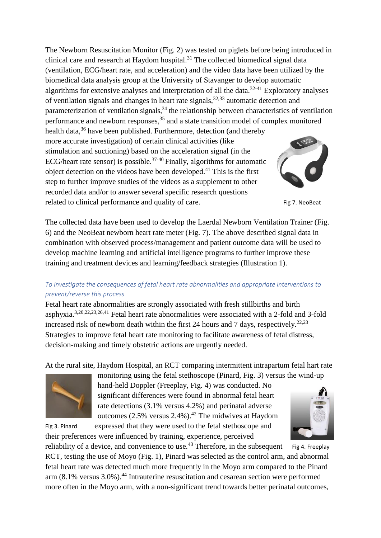The Newborn Resuscitation Monitor (Fig. 2) was tested on piglets before being introduced in clinical care and research at Haydom hospital.<sup>31</sup> The collected biomedical signal data (ventilation, ECG/heart rate, and acceleration) and the video data have been utilized by the biomedical data analysis group at the University of Stavanger to develop automatic algorithms for extensive analyses and interpretation of all the data. $32-41$  Exploratory analyses of ventilation signals and changes in heart rate signals,32,33 automatic detection and parameterization of ventilation signals,<sup>34</sup> the relationship between characteristics of ventilation performance and newborn responses,<sup>35</sup> and a state transition model of complex monitored health data,<sup>36</sup> have been published. Furthermore, detection (and thereby more accurate investigation) of certain clinical activities (like stimulation and suctioning) based on the acceleration signal (in the ECG/heart rate sensor) is possible.<sup>37-40</sup> Finally, algorithms for automatic object detection on the videos have been developed.<sup>41</sup> This is the first step to further improve studies of the videos as a supplement to other recorded data and/or to answer several specific research questions related to clinical performance and quality of care. Fig 7. NeoBeat

The collected data have been used to develop the Laerdal Newborn Ventilation Trainer (Fig. 6) and the NeoBeat newborn heart rate meter (Fig. 7). The above described signal data in combination with observed process/management and patient outcome data will be used to develop machine learning and artificial intelligence programs to further improve these training and treatment devices and learning/feedback strategies (Illustration 1).

# *To investigate the consequences of fetal heart rate abnormalities and appropriate interventions to prevent/reverse this process*

Fetal heart rate abnormalities are strongly associated with fresh stillbirths and birth asphyxia.3,20,22,23,26,41 Fetal heart rate abnormalities were associated with a 2-fold and 3-fold increased risk of newborn death within the first 24 hours and 7 days, respectively.<sup>22,23</sup> Strategies to improve fetal heart rate monitoring to facilitate awareness of fetal distress, decision-making and timely obstetric actions are urgently needed.

At the rural site, Haydom Hospital, an RCT comparing intermittent intrapartum fetal hart rate



monitoring using the fetal stethoscope (Pinard, Fig. 3) versus the wind-up hand-held Doppler (Freeplay, Fig. 4) was conducted. No significant differences were found in abnormal fetal heart rate detections (3.1% versus 4.2%) and perinatal adverse outcomes (2.5% versus 2.4%). <sup>42</sup> The midwives at Haydom



Fig 3. Pinard expressed that they were used to the fetal stethoscope and their preferences were influenced by training, experience, perceived

reliability of a device, and convenience to use.<sup>43</sup> Therefore, in the subsequent Fig 4. Freeplay RCT, testing the use of Moyo (Fig. 1), Pinard was selected as the control arm, and abnormal fetal heart rate was detected much more frequently in the Moyo arm compared to the Pinard arm  $(8.1\%$  versus  $3.0\%$ ).<sup>44</sup> Intrauterine resuscitation and cesarean section were performed more often in the Moyo arm, with a non-significant trend towards better perinatal outcomes,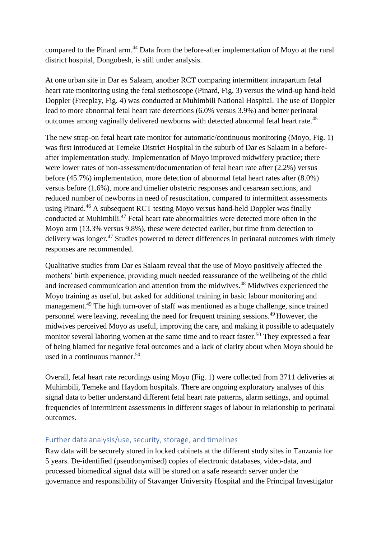compared to the Pinard arm.<sup>44</sup> Data from the before-after implementation of Moyo at the rural district hospital, Dongobesh, is still under analysis.

At one urban site in Dar es Salaam, another RCT comparing intermittent intrapartum fetal heart rate monitoring using the fetal stethoscope (Pinard, Fig. 3) versus the wind-up hand-held Doppler (Freeplay, Fig. 4) was conducted at Muhimbili National Hospital. The use of Doppler lead to more abnormal fetal heart rate detections (6.0% versus 3.9%) and better perinatal outcomes among vaginally delivered newborns with detected abnormal fetal heart rate.<sup>45</sup>

The new strap-on fetal heart rate monitor for automatic/continuous monitoring (Moyo, Fig. 1) was first introduced at Temeke District Hospital in the suburb of Dar es Salaam in a beforeafter implementation study. Implementation of Moyo improved midwifery practice; there were lower rates of non-assessment/documentation of fetal heart rate after (2.2%) versus before (45.7%) implementation, more detection of abnormal fetal heart rates after (8.0%) versus before (1.6%), more and timelier obstetric responses and cesarean sections, and reduced number of newborns in need of resuscitation, compared to intermittent assessments using Pinard. <sup>46</sup> A subsequent RCT testing Moyo versus hand-held Doppler was finally conducted at Muhimbili. <sup>47</sup> Fetal heart rate abnormalities were detected more often in the Moyo arm (13.3% versus 9.8%), these were detected earlier, but time from detection to delivery was longer.<sup>47</sup> Studies powered to detect differences in perinatal outcomes with timely responses are recommended.

Qualitative studies from Dar es Salaam reveal that the use of Moyo positively affected the mothers' birth experience, providing much needed reassurance of the wellbeing of the child and increased communication and attention from the midwives.<sup>48</sup> Midwives experienced the Moyo training as useful, but asked for additional training in basic labour monitoring and management.<sup>49</sup> The high turn-over of staff was mentioned as a huge challenge, since trained personnel were leaving, revealing the need for frequent training sessions.<sup>49</sup>However, the midwives perceived Moyo as useful, improving the care, and making it possible to adequately monitor several laboring women at the same time and to react faster.<sup>50</sup> They expressed a fear of being blamed for negative fetal outcomes and a lack of clarity about when Moyo should be used in a continuous manner.<sup>50</sup>

Overall, fetal heart rate recordings using Moyo (Fig. 1) were collected from 3711 deliveries at Muhimbili, Temeke and Haydom hospitals. There are ongoing exploratory analyses of this signal data to better understand different fetal heart rate patterns, alarm settings, and optimal frequencies of intermittent assessments in different stages of labour in relationship to perinatal outcomes.

## Further data analysis/use, security, storage, and timelines

Raw data will be securely stored in locked cabinets at the different study sites in Tanzania for 5 years. De-identified (pseudonymised) copies of electronic databases, video-data, and processed biomedical signal data will be stored on a safe research server under the governance and responsibility of Stavanger University Hospital and the Principal Investigator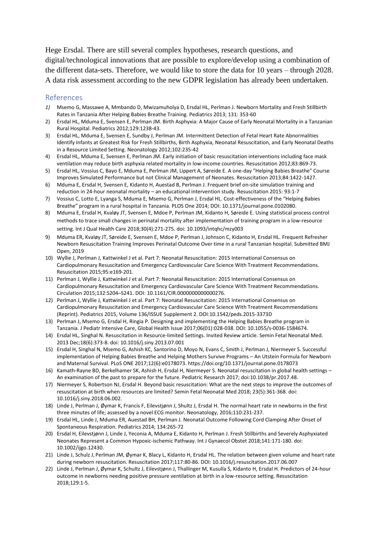Hege Ersdal. There are still several complex hypotheses, research questions, and digital/technological innovations that are possible to explore/develop using a combination of the different data-sets. Therefore, we would like to store the data for 10 years – through 2028. A data risk assessment according to the new GDPR legislation has already been undertaken.

#### References

- *1)* Msemo G, Massawe A, Mmbando D, Mwizamuholya D, Ersdal HL, Perlman J. Newborn Mortality and Fresh Stillbirth Rates in Tanzania After Helping Babies Breathe Training. Pediatrics 2013; 131: 353-60
- 2) Ersdal HL, Mduma E, Svensen E, Perlman JM. Birth Asphyxia: A Major Cause of Early Neonatal Mortality in a Tanzanian Rural Hospital. Pediatrics 2012;129:1238-43.
- 3) Ersdal HL, Mduma E, Svensen E, Sundby J, Perlman JM. Intermittent Detection of Fetal Heart Rate Abnormalities Identify Infants at Greatest Risk for Fresh Stillbirths, Birth Asphyxia, Neonatal Resuscitation, and Early Neonatal Deaths in a Resource Limited Setting. Neonatology 2012;102:235-42
- 4) Ersdal HL, Mduma E, Svensen E, Perlman JM. Early initiation of basic resuscitation interventions including face mask ventilation may reduce birth asphyxia related mortality in low-income countries. Resuscitation 2012;83:869-73.
- 5) Ersdal HL, Vossius C, Bayo E, Mduma E, Perlman JM, Lippert A, Søreide E. A one-day "Helping Babies Breathe" Course Improves Simulated Performance but not Clinical Management of Neonates. Resuscitation 2013;84:1422-1427.
- 6) Mduma E, Ersdal H, Svensen E, Kidanto H, Auestad B, Perlman J. Frequent brief on-site simulation training and reduction in 24-hour neonatal mortality – an educational intervention study. Resuscitation 2015: 93:1-7
- 7) Vossius C, Lotto E, Lyanga S, Mduma E, Msemo G, Perlman J, Ersdal HL. Cost-effectiveness of the "Helping Babies Breathe" program in a rural hospital in Tanzania. PLOS One 2014; DOI: 10.1371/journal.pone.0102080.
- 8) Mduma E, Ersdal H, Kvaløy JT, Svensen E, Mdoe P, Perlman JM, Kidanto H, Søreide E. Using statistical process control methods to trace small changes in perinatal mortality after implementation of training program in a low-resource setting. Int J Qual Health Care 2018;30(4):271-275. doi: 10.1093/intqhc/mzy003
- 9) Mduma ER, Kvaløy JT, Søreide E, Svensen E, Mdoe P, Perlman J, Johnson C, Kidanto H, Ersdal HL. Frequent Refresher Newborn Resuscitation Training Improves Perinatal Outcome Over time in a rural Tanzanian hospital. Submitted BMJ Open, 2019
- 10) Wyllie J, Perlman J, Kattwinkel J et al. Part 7: Neonatal Resuscitation: 2015 International Consensus on Cardiopulmonary Resuscitation and Emergency Cardiovascular Care Science With Treatment Recommendations. Resuscitation 2015;95:e169-201.
- 11) Perlman J, Wyllie J, Kattwinkel J et al. Part 7: Neonatal Resuscitation: 2015 International Consensus on Cardiopulmonary Resuscitation and Emergency Cardiovascular Care Science With Treatment Recommendations. Circulation 2015;132:S204–S241. DOI: 10.1161/CIR.0000000000000276.
- 12) Perlman J, Wyllie J, Kattwinkel J et al. Part 7: Neonatal Resuscitation: 2015 International Consensus on Cardiopulmonary Resuscitation and Emergency Cardiovascular Care Science With Treatment Recommendations (Reprint). Pediatrics 2015, Volume 136/ISSUE Supplement 2. DOI:10.1542/peds.2015-3373D
- 13) Perlman J, Msemo G, Ersdal H, Ringia P. Designing and implementing the Helping Babies Breathe program in Tanzania. J Pediatr Intensive Care, Global Health Issue 2017;06(01):028-038. DOI: 10.1055/s-0036-1584674.
- 14) Ersdal HL, Singhal N. Resuscitation in Resource-limited Settings. Invited Review article. Semin Fetal Neonatal Med. 2013 Dec;18(6):373-8. doi: 10.1016/j.siny.2013.07.001
- 15) Ersdal H, Singhal N, Msemo G, Ashish KC, Santorino D, Moyo N, Evans C, Smith J, Perlman J, Niermeyer S. Successful implementation of Helping Babies Breathe and Helping Mothers Survive Programs – An Utstein Formula for Newborn and Maternal Survival. PLoS ONE 2017;12(6):e0178073. https://doi.org/10.1371/journal.pone.0178073
- 16) Kamath-Rayne BD, Berkelhamer SK, Ashish H, Ersdal H, Niermeyer S. Neonatal resuscitation in global health settings An examination of the past to prepare for the future. Pediatric Research 2017; doi:10.1038/pr.2017.48.
- 17) Niermeyer S, Robertson NJ, Ersdal H. Beyond basic resuscitation: What are the next steps to improve the outcomes of resuscitation at birth when resources are limited? Semin Fetal Neonatal Med 2018; 23(5):361-368. doi: 10.1016/j.siny.2018.06.002.
- 18) Linde J, Perlman J, Øymar K, Francis F, Eilevstjønn J, Shultz J, Ersdal H. The normal heart rate in newborns in the first three minutes of life; assessed by a novel ECG monitor. Neonatology, 2016;110:231-237.
- 19) Ersdal HL, Linde J, Mduma ER, Auestad BH, Perlman J. Neonatal Outcome Following Cord Clamping After Onset of Spontaneous Respiration. Pediatrics 2014; 134:265-72
- 20) Ersdal H, Eilevstjønn J, Linde J, Yeconia A, Mduma E, Kidanto H, Perlman J. Fresh Stillbirths and Severely Asphyxiated Neonates Represent a Common Hypoxic-ischemic Pathway[. Int J Gynaecol Obstet](https://www.ncbi.nlm.nih.gov/pubmed/29250782) 2018;141:171-180. doi: 10.1002/ijgo.12430.
- 21) Linde J, Schulz J, Perlman JM, Øymar K, Blacy L, Kidanto H, Ersdal HL. The relation between given volume and heart rate during newborn resuscitation. Resuscitation 2017;117:80-86. DOI: 10.1016/j.resuscitation.2017.06.007
- 22) Linde J, Perlman J, Øymar K, Schultz J, Eilevstjønn J, Thallinger M, Kusulla S, Kidanto H, Ersdal H. Predictors of 24-hour outcome in newborns needing positive pressure ventilation at birth in a low-resource setting. Resuscitation 2018;129:1-5.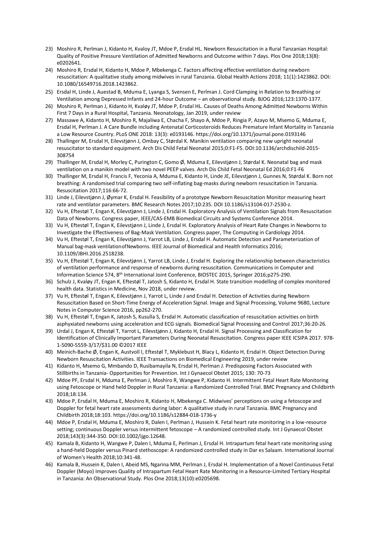- 23) Moshiro R, Perlman J, Kidanto H, Kvaloy JT, Mdoe P, Ersdal HL. Newborn Resuscitation in a Rural Tanzanian Hospital: Quality of Positive Pressure Ventilation of Admitted Newborns and Outcome within 7 days. Plos One 2018;13(8): e0202641.
- 24) Moshiro R, Ersdal H, Kidanto H, Mdoe P, Mbekenga C. Factors affecting effective ventilation during newborn resuscitation: A qualitative study among midwives in rural Tanzania. Global Health Actions 2018; 11(1):1423862. DOI: 10.1080/16549716.2018.1423862.
- 25) Ersdal H, Linde J, Auestad B, Mduma E, Lyanga S, Svensen E, Perlman J. Cord Clamping in Relation to Breathing or Ventilation among Depressed Infants and 24-hour Outcome – an observational study. BJOG 2016;123:1370-1377.
- 26) Moshiro R, Perlman J, Kidanto H, Kvaløy JT, Mdoe P, Ersdal HL. Causes of Deaths Among Admitted Newborns Within First 7 Days in a Rural Hospital, Tanzania. Neonatology, Jan 2019, under review
- 27) Massawe A, Kidanto H, Moshiro R, Majaliwa E, Chacha F, Shayo A, Mdoe P, Ringia P, Azayo M, Msemo G, Mduma E, Ersdal H, Perlman J. A Care Bundle including Antenatal Corticosteroids Reduces Premature Infant Mortality in Tanzania a Low Resource Country. PLoS ONE 2018: 13(3): e0193146. https://doi.org/10.1371/journal.pone.0193146
- 28) Thallinger M, Ersdal H, Eilevstjønn J, Ombay C, Størdal K. Manikin ventilation comparing new upright neonatal resuscitator to standard equipment. Arch Dis Child Fetal Neonatal 2015;0:F1-F5. DOI:10.1136/archdischild-2015- 308754
- 29) Thallinger M, Ersdal H, Morley C, Purington C, Gomo Ø, Mduma E, Eilevstjønn J, Størdal K. Neonatal bag and mask ventilation on a manikin model with two novel PEEP valves. Arch Dis Child Fetal Neonatal Ed 2016;0:F1-F6
- 30) Thallinger M, Ersdal H, Francis F, Yeconia A, Mduma E, Kidanto H, Linde JE, Eilevstjønn J, Gunnes N, Størdal K. Born not breathing: A randomised trial comparing two self-inflating bag-masks during newborn resuscitation in Tanzania. Resuscitation 2017;116:66-72.
- 31) Linde J, Eilevstjønn J, Øymar K, Ersdal H. Feasibility of a prototype Newborn Resuscitation Monitor measuring heart rate and ventilator parameters. BMC Research Notes 2017;10:235. DOI 10.1186/s13104-017-2530-z.
- 32) Vu H, Eftestøl T, Engan K, Eilevstjønn J, Linde J, Ersdal H. Exploratory Analysis of Ventilation Signals from Resuscitation Data of Newborns. Congress paper, IEEE/CAS-EMB Biomedical Circuits and Systems Conference 2014.
- 33) Vu H, Eftestøl T, Engan K, Eilevstjønn J, Linde J, Ersdal H. Exploratory Analysis of Heart Rate Changes in Newborns to Investigate the Effectiveness of Bag-Mask Ventilation. Congress paper, The Computing in Cardiology 2014.
- 34) Vu H, Eftestøl T, Engan K, Eilevstjønn J, Yarrot LB, Linde J, Ersdal H. Automatic Detection and Parameterization of Manual bag-mask ventilationofNewborns. IEEE Journal of Biomedical and Health Informatics 2016; 10.1109/JBHI.2016.2518238.
- 35) Vu H, Eftestøl T, Engan K, Eilevstjønn J, Yarrot LB, Linde J, Ersdal H. Exploring the relationship between characteristics of ventilation performance and response of newborns during resuscitation. Communications in Computer and Information Science 574, 8th International Joint Conference, BIOSTEC 2015, Springer 2016;p275-290.
- 36) Schulz J, Kvaløy JT, Engan K, Eftestøl T, Jatosh S, Kidanto H, Ersdal H. State transition modelling of complex monitored health data. Statistics in Medicine, Nov 2018, under review.
- 37) Vu H, Eftestøl T, Engan K, Eilevstjønn J, Yarrot L, Linde J and Ersdal H. Detection of Activities during Newborn Resuscitation Based on Short-Time Energy of Acceleration Signal. Image and Signal Processing, Volume 9680, Lecture Notes in Computer Science 2016, pp262-270.
- 38) Vu H, Eftestøl T, Engan K, Jatosh S, Kusulla S, Ersdal H. Automatic classification of resuscitation activities on birth asphyxiated newborns using acceleration and ECG signals. Biomedical Signal Processing and Control 2017;36:20-26.
- 39) Urdal J, Engan K, Eftestøl T, Yarrot L, Eilevstjønn J, Kidanto H, Ersdal H. Signal Processing and Classification for Identification of Clinically Important Parameters During Neonatal Resuscitation. Congress paper IEEE ICSIPA 2017. 978- 1-5090-5559-3/17/\$31.00 ©2017 IEEE
- 40) Meinich-Bache Ø, Engan K, Austvoll I, Eftestøl T, Myklebust H, Blacy L, Kidanto H, Ersdal H. Object Detection During Newborn Resuscitation Activities. IEEE Transactions on Biomedical Engineering 2019, under review
- 41) Kidanto H, Msemo G, Mmbando D, Rusibamayila N, Ersdal H, Perlman J. Predisposing Factors Associated with Stillbirths in Tanzania- Opportunities for Prevention. Int J Gynaecol Obstet 2015; 130: 70-73
- 42) Mdoe PF, Ersdal H, Mduma E, Perlman J, Moshiro R, Wangwe P, Kidanto H. Intermittent Fetal Heart Rate Monitoring using Fetoscope or Hand held Doppler in Rural Tanzania: a Randomized Controlled Trial. BMC Pregnancy and Childbirth 2018;18:134.
- 43) Mdoe P, Ersdal H, Mduma E, Moshiro R, Kidanto H, Mbekenga C. Midwives' perceptions on using a fetoscope and Doppler for fetal heart rate assessments during labor: A qualitative study in rural Tanzania. BMC Pregnancy and Childbirth 2018;18:103. https://doi.org/10.1186/s12884-018-1736-y
- 44) Mdoe P, Ersdal H, Mduma E, Moshiro R, Dalen I, Perlman J, Hussein K. Fetal heart rate monitoring in a low-resource setting; continuous Doppler versus intermittent fetoscope – A randomized controlled study. [Int J Gynaecol Obstet](https://www.ncbi.nlm.nih.gov/pubmed/29250782) 2018;143(3):344-350. DOI:10.1002/ijgo.12648.
- 45) Kamala B, Kidanto H, Wangwe P, Dalen I, Mduma E, Perlman J, Ersdal H. Intrapartum fetal heart rate monitoring using a hand-held Doppler versus Pinard stethoscope: A randomized controlled study in Dar es Salaam. International Journal of Women's Health 2018;10:341-48.
- 46) Kamala B, Hussein K, Dalen I, Abeid MS, Ngarina MM, Perlman J, Ersdal H. Implementation of a Novel Continuous Fetal Doppler (Moyo) Improves Quality of Intrapartum Fetal Heart Rate Monitoring in a Resource-Limited Tertiary Hospital in Tanzania: An Observational Study. Plos One 2018;13(10):e0205698.